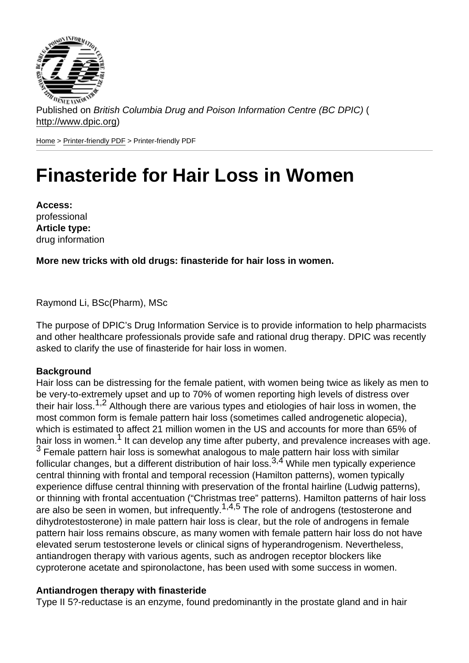Published on British Columbia Drug and Poison Information Centre (BC DPIC) ( http://www.dpic.org)

Home > Printer-friendly PDF > Printer-friendly PDF

# [Fin](http://www.dpic.org/)[asteride](http://www.dpic.org/printpdf) for Hair Loss in Women

Access: professional Article type: drug information

More new tricks with old drugs: finasteride for hair loss in women.

Raymond Li, BSc(Pharm), MSc

The purpose of DPIC's Drug Information Service is to provide information to help pharmacists and other healthcare professionals provide safe and rational drug therapy. DPIC was recently asked to clarify the use of finasteride for hair loss in women.

#### Background

Hair loss can be distressing for the female patient, with women being twice as likely as men to be very-to-extremely upset and up to 70% of women reporting high levels of distress over their hair loss.<sup>1,2</sup> Although there are various types and etiologies of hair loss in women, the most common form is female pattern hair loss (sometimes called androgenetic alopecia), which is estimated to affect 21 million women in the US and accounts for more than 65% of hair loss in women.<sup>1</sup> It can develop any time after puberty, and prevalence increases with age. <sup>3</sup> Female pattern hair loss is somewhat analogous to male pattern hair loss with similar follicular changes, but a different distribution of hair loss.<sup>3,4</sup> While men typically experience central thinning with frontal and temporal recession (Hamilton patterns), women typically experience diffuse central thinning with preservation of the frontal hairline (Ludwig patterns), or thinning with frontal accentuation ("Christmas tree" patterns). Hamilton patterns of hair loss are also be seen in women, but infrequently.<sup>1,4,5</sup> The role of androgens (testosterone and dihydrotestosterone) in male pattern hair loss is clear, but the role of androgens in female pattern hair loss remains obscure, as many women with female pattern hair loss do not have elevated serum testosterone levels or clinical signs of hyperandrogenism. Nevertheless, antiandrogen therapy with various agents, such as androgen receptor blockers like cyproterone acetate and spironolactone, has been used with some success in women.

#### Antiandrogen therapy with finasteride

Type II 5?-reductase is an enzyme, found predominantly in the prostate gland and in hair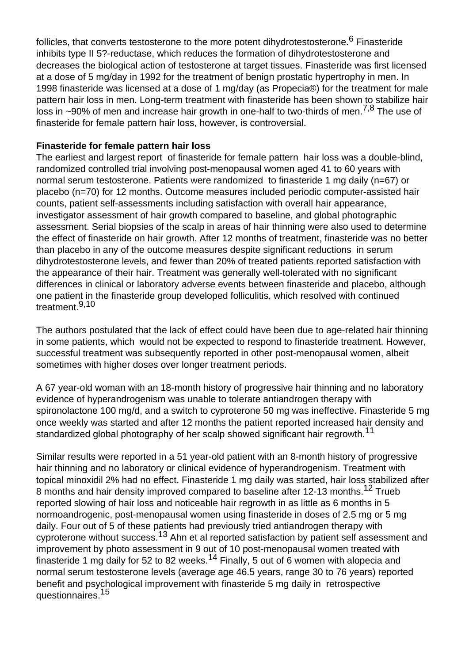follicles, that converts testosterone to the more potent dihydrotestosterone.<sup>6</sup> Finasteride inhibits type II 5?-reductase, which reduces the formation of dihydrotestosterone and decreases the biological action of testosterone at target tissues. Finasteride was first licensed at a dose of 5 mg/day in 1992 for the treatment of benign prostatic hypertrophy in men. In 1998 finasteride was licensed at a dose of 1 mg/day (as Propecia®) for the treatment for male pattern hair loss in men. Long-term treatment with finasteride has been shown to stabilize hair loss in  $\sim$ 90% of men and increase hair growth in one-half to two-thirds of men.<sup>7,8</sup> The use of finasteride for female pattern hair loss, however, is controversial.

### **Finasteride for female pattern hair loss**

The earliest and largest report of finasteride for female pattern hair loss was a double-blind, randomized controlled trial involving post-menopausal women aged 41 to 60 years with normal serum testosterone. Patients were randomized to finasteride 1 mg daily (n=67) or placebo (n=70) for 12 months. Outcome measures included periodic computer-assisted hair counts, patient self-assessments including satisfaction with overall hair appearance, investigator assessment of hair growth compared to baseline, and global photographic assessment. Serial biopsies of the scalp in areas of hair thinning were also used to determine the effect of finasteride on hair growth. After 12 months of treatment, finasteride was no better than placebo in any of the outcome measures despite significant reductions in serum dihydrotestosterone levels, and fewer than 20% of treated patients reported satisfaction with the appearance of their hair. Treatment was generally well-tolerated with no significant differences in clinical or laboratory adverse events between finasteride and placebo, although one patient in the finasteride group developed folliculitis, which resolved with continued treatment.9,10

The authors postulated that the lack of effect could have been due to age-related hair thinning in some patients, which would not be expected to respond to finasteride treatment. However, successful treatment was subsequently reported in other post-menopausal women, albeit sometimes with higher doses over longer treatment periods.

A 67 year-old woman with an 18-month history of progressive hair thinning and no laboratory evidence of hyperandrogenism was unable to tolerate antiandrogen therapy with spironolactone 100 mg/d, and a switch to cyproterone 50 mg was ineffective. Finasteride 5 mg once weekly was started and after 12 months the patient reported increased hair density and standardized global photography of her scalp showed significant hair regrowth.<sup>11</sup>

Similar results were reported in a 51 year-old patient with an 8-month history of progressive hair thinning and no laboratory or clinical evidence of hyperandrogenism. Treatment with topical minoxidil 2% had no effect. Finasteride 1 mg daily was started, hair loss stabilized after 8 months and hair density improved compared to baseline after 12-13 months.<sup>12</sup> Trueb reported slowing of hair loss and noticeable hair regrowth in as little as 6 months in 5 normoandrogenic, post-menopausal women using finasteride in doses of 2.5 mg or 5 mg daily. Four out of 5 of these patients had previously tried antiandrogen therapy with cyproterone without success.13 Ahn et al reported satisfaction by patient self assessment and improvement by photo assessment in 9 out of 10 post-menopausal women treated with finasteride 1 mg daily for 52 to 82 weeks.<sup>14</sup> Finally, 5 out of 6 women with alopecia and normal serum testosterone levels (average age 46.5 years, range 30 to 76 years) reported benefit and psychological improvement with finasteride 5 mg daily in retrospective questionnaires.<sup>15</sup>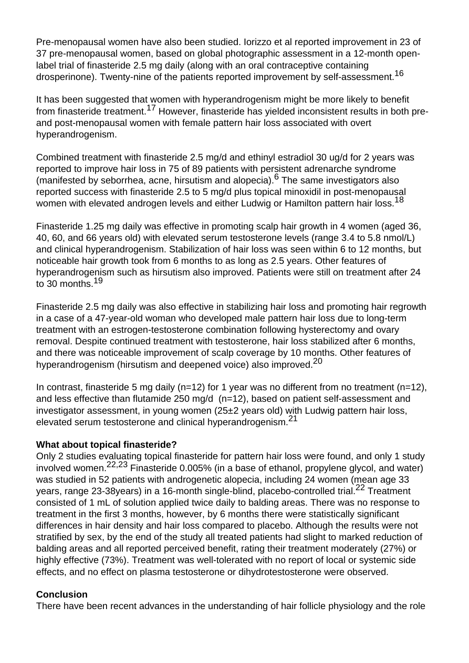Pre-menopausal women have also been studied. Iorizzo et al reported improvement in 23 of 37 pre-menopausal women, based on global photographic assessment in a 12-month openlabel trial of finasteride 2.5 mg daily (along with an oral contraceptive containing drosperinone). Twenty-nine of the patients reported improvement by self-assessment.<sup>16</sup>

It has been suggested that women with hyperandrogenism might be more likely to benefit from finasteride treatment.17 However, finasteride has yielded inconsistent results in both preand post-menopausal women with female pattern hair loss associated with overt hyperandrogenism.

Combined treatment with finasteride 2.5 mg/d and ethinyl estradiol 30 ug/d for 2 years was reported to improve hair loss in 75 of 89 patients with persistent adrenarche syndrome (manifested by seborrhea, acne, hirsutism and alopecia).<sup>6</sup> The same investigators also reported success with finasteride 2.5 to 5 mg/d plus topical minoxidil in post-menopausal women with elevated androgen levels and either Ludwig or Hamilton pattern hair loss.<sup>18</sup>

Finasteride 1.25 mg daily was effective in promoting scalp hair growth in 4 women (aged 36, 40, 60, and 66 years old) with elevated serum testosterone levels (range 3.4 to 5.8 nmol/L) and clinical hyperandrogenism. Stabilization of hair loss was seen within 6 to 12 months, but noticeable hair growth took from 6 months to as long as 2.5 years. Other features of hyperandrogenism such as hirsutism also improved. Patients were still on treatment after 24 to 30 months.<sup>19</sup>

Finasteride 2.5 mg daily was also effective in stabilizing hair loss and promoting hair regrowth in a case of a 47-year-old woman who developed male pattern hair loss due to long-term treatment with an estrogen-testosterone combination following hysterectomy and ovary removal. Despite continued treatment with testosterone, hair loss stabilized after 6 months, and there was noticeable improvement of scalp coverage by 10 months. Other features of hyperandrogenism (hirsutism and deepened voice) also improved.<sup>20</sup>

In contrast, finasteride 5 mg daily ( $n=12$ ) for 1 year was no different from no treatment ( $n=12$ ), and less effective than flutamide 250 mg/d (n=12), based on patient self-assessment and investigator assessment, in young women (25±2 years old) with Ludwig pattern hair loss, elevated serum testosterone and clinical hyperandrogenism.<sup>21</sup>

# **What about topical finasteride?**

Only 2 studies evaluating topical finasteride for pattern hair loss were found, and only 1 study involved women.<sup>22,23</sup> Finasteride 0.005% (in a base of ethanol, propylene glycol, and water) was studied in 52 patients with androgenetic alopecia, including 24 women (mean age 33 years, range 23-38years) in a 16-month single-blind, placebo-controlled trial.<sup>22</sup> Treatment consisted of 1 mL of solution applied twice daily to balding areas. There was no response to treatment in the first 3 months, however, by 6 months there were statistically significant differences in hair density and hair loss compared to placebo. Although the results were not stratified by sex, by the end of the study all treated patients had slight to marked reduction of balding areas and all reported perceived benefit, rating their treatment moderately (27%) or highly effective (73%). Treatment was well-tolerated with no report of local or systemic side effects, and no effect on plasma testosterone or dihydrotestosterone were observed.

# **Conclusion**

There have been recent advances in the understanding of hair follicle physiology and the role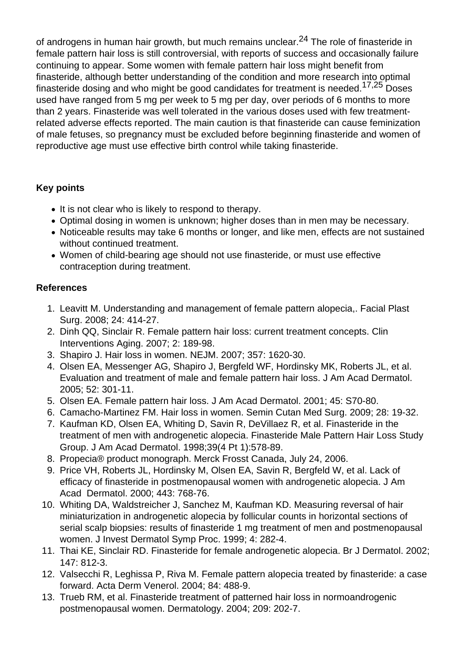of androgens in human hair growth, but much remains unclear.<sup>24</sup> The role of finasteride in female pattern hair loss is still controversial, with reports of success and occasionally failure continuing to appear. Some women with female pattern hair loss might benefit from finasteride, although better understanding of the condition and more research into optimal finasteride dosing and who might be good candidates for treatment is needed.<sup>17,25</sup> Doses used have ranged from 5 mg per week to 5 mg per day, over periods of 6 months to more than 2 years. Finasteride was well tolerated in the various doses used with few treatmentrelated adverse effects reported. The main caution is that finasteride can cause feminization of male fetuses, so pregnancy must be excluded before beginning finasteride and women of reproductive age must use effective birth control while taking finasteride.

# **Key points**

- It is not clear who is likely to respond to therapy.
- Optimal dosing in women is unknown; higher doses than in men may be necessary.
- Noticeable results may take 6 months or longer, and like men, effects are not sustained without continued treatment.
- Women of child-bearing age should not use finasteride, or must use effective contraception during treatment.

### **References**

- 1. Leavitt M. Understanding and management of female pattern alopecia,. Facial Plast Surg. 2008; 24: 414-27.
- 2. Dinh QQ, Sinclair R. Female pattern hair loss: current treatment concepts. Clin Interventions Aging. 2007; 2: 189-98.
- 3. Shapiro J. Hair loss in women. NEJM. 2007; 357: 1620-30.
- 4. Olsen EA, Messenger AG, Shapiro J, Bergfeld WF, Hordinsky MK, Roberts JL, et al. Evaluation and treatment of male and female pattern hair loss. J Am Acad Dermatol. 2005; 52: 301-11.
- 5. Olsen EA. Female pattern hair loss. J Am Acad Dermatol. 2001; 45: S70-80.
- 6. Camacho-Martinez FM. Hair loss in women. Semin Cutan Med Surg. 2009; 28: 19-32.
- 7. Kaufman KD, Olsen EA, Whiting D, Savin R, DeVillaez R, et al. Finasteride in the treatment of men with androgenetic alopecia. Finasteride Male Pattern Hair Loss Study Group. J Am Acad Dermatol. 1998;39(4 Pt 1):578-89.
- 8. Propecia® product monograph. Merck Frosst Canada, July 24, 2006.
- 9. Price VH, Roberts JL, Hordinsky M, Olsen EA, Savin R, Bergfeld W, et al. Lack of efficacy of finasteride in postmenopausal women with androgenetic alopecia. J Am Acad Dermatol. 2000; 443: 768-76.
- 10. Whiting DA, Waldstreicher J, Sanchez M, Kaufman KD. Measuring reversal of hair miniaturization in androgenetic alopecia by follicular counts in horizontal sections of serial scalp biopsies: results of finasteride 1 mg treatment of men and postmenopausal women. J Invest Dermatol Symp Proc. 1999; 4: 282-4.
- 11. Thai KE, Sinclair RD. Finasteride for female androgenetic alopecia. Br J Dermatol. 2002; 147: 812-3.
- 12. Valsecchi R, Leghissa P, Riva M. Female pattern alopecia treated by finasteride: a case forward. Acta Derm Venerol. 2004; 84: 488-9.
- 13. Trueb RM, et al. Finasteride treatment of patterned hair loss in normoandrogenic postmenopausal women. Dermatology. 2004; 209: 202-7.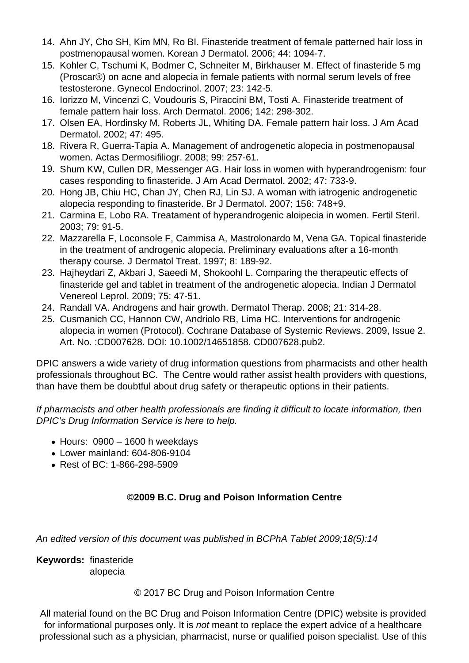- 14. Ahn JY, Cho SH, Kim MN, Ro BI. Finasteride treatment of female patterned hair loss in postmenopausal women. Korean J Dermatol. 2006; 44: 1094-7.
- 15. Kohler C, Tschumi K, Bodmer C, Schneiter M, Birkhauser M. Effect of finasteride 5 mg (Proscar®) on acne and alopecia in female patients with normal serum levels of free testosterone. Gynecol Endocrinol. 2007; 23: 142-5.
- 16. Iorizzo M, Vincenzi C, Voudouris S, Piraccini BM, Tosti A. Finasteride treatment of female pattern hair loss. Arch Dermatol. 2006; 142: 298-302.
- 17. Olsen EA, Hordinsky M, Roberts JL, Whiting DA. Female pattern hair loss. J Am Acad Dermatol. 2002; 47: 495.
- 18. Rivera R, Guerra-Tapia A. Management of androgenetic alopecia in postmenopausal women. Actas Dermosifiliogr. 2008; 99: 257-61.
- 19. Shum KW, Cullen DR, Messenger AG. Hair loss in women with hyperandrogenism: four cases responding to finasteride. J Am Acad Dermatol. 2002; 47: 733-9.
- 20. Hong JB, Chiu HC, Chan JY, Chen RJ, Lin SJ. A woman with iatrogenic androgenetic alopecia responding to finasteride. Br J Dermatol. 2007; 156: 748+9.
- 21. Carmina E, Lobo RA. Treatament of hyperandrogenic aloipecia in women. Fertil Steril. 2003; 79: 91-5.
- 22. Mazzarella F, Loconsole F, Cammisa A, Mastrolonardo M, Vena GA. Topical finasteride in the treatment of androgenic alopecia. Preliminary evaluations after a 16-month therapy course. J Dermatol Treat. 1997; 8: 189-92.
- 23. Hajheydari Z, Akbari J, Saeedi M, Shokoohl L. Comparing the therapeutic effects of finasteride gel and tablet in treatment of the androgenetic alopecia. Indian J Dermatol Venereol Leprol. 2009; 75: 47-51.
- 24. Randall VA. Androgens and hair growth. Dermatol Therap. 2008; 21: 314-28.
- 25. Cusmanich CC, Hannon CW, Andriolo RB, Lima HC. Interventions for androgenic alopecia in women (Protocol). Cochrane Database of Systemic Reviews. 2009, Issue 2. Art. No. :CD007628. DOI: 10.1002/14651858. CD007628.pub2.

DPIC answers a wide variety of drug information questions from pharmacists and other health professionals throughout BC. The Centre would rather assist health providers with questions, than have them be doubtful about drug safety or therapeutic options in their patients.

If pharmacists and other health professionals are finding it difficult to locate information, then DPIC's Drug Information Service is here to help.

- $\bullet$  Hours: 0900 1600 h weekdays
- Lower mainland: 604-806-9104
- Rest of BC: 1-866-298-5909

# **©2009 B.C. Drug and Poison Information Centre**

An edited version of this document was published in BCPhA Tablet 2009;18(5):14

**Keywords:** finasteride alopecia

# © 2017 BC Drug and Poison Information Centre

All material found on the BC Drug and Poison Information Centre (DPIC) website is provided for informational purposes only. It is *not* meant to replace the expert advice of a healthcare professional such as a physician, pharmacist, nurse or qualified poison specialist. Use of this